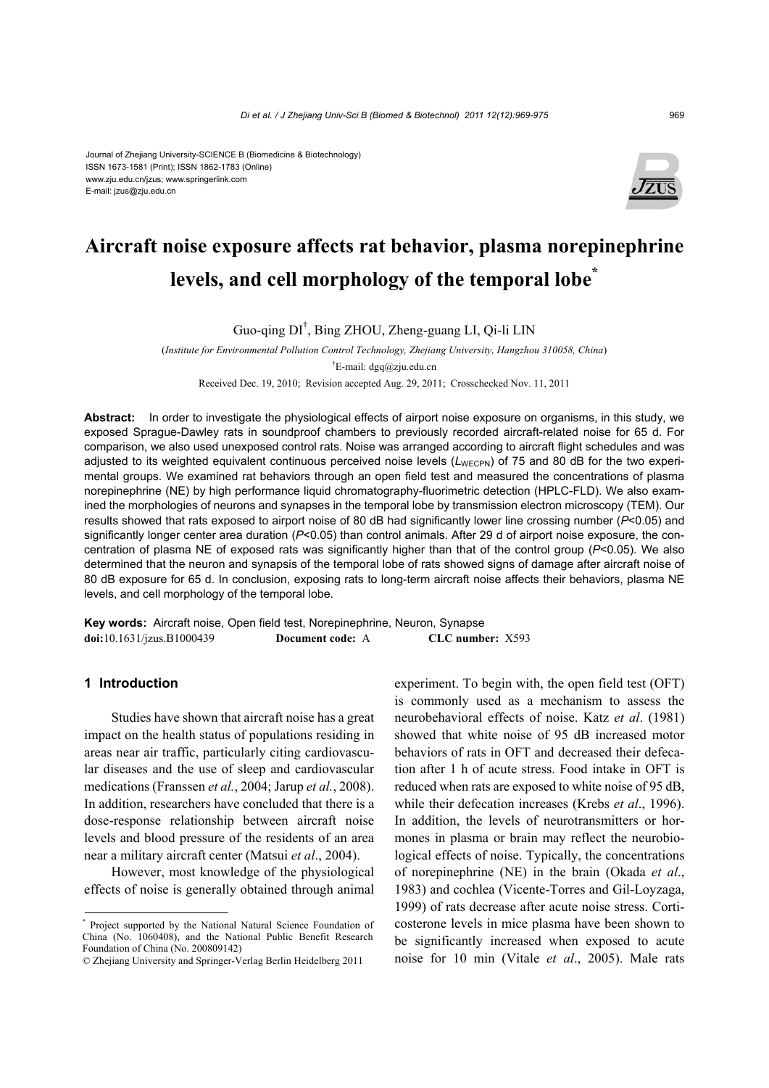#### Journal of Zhejiang University-SCIENCE B (Biomedicine & Biotechnology) ISSN 1673-1581 (Print); ISSN 1862-1783 (Online) www.zju.edu.cn/jzus; www.springerlink.com E-mail: jzus@zju.edu.cn



# **Aircraft noise exposure affects rat behavior, plasma norepinephrine levels, and cell morphology of the temporal lobe\***

Guo-qing DI† , Bing ZHOU, Zheng-guang LI, Qi-li LIN

(*Institute for Environmental Pollution Control Technology, Zhejiang University, Hangzhou 310058, China*) † E-mail: dgq@zju.edu.cn

Received Dec. 19, 2010; Revision accepted Aug. 29, 2011; Crosschecked Nov. 11, 2011

**Abstract:** In order to investigate the physiological effects of airport noise exposure on organisms, in this study, we exposed Sprague-Dawley rats in soundproof chambers to previously recorded aircraft-related noise for 65 d. For comparison, we also used unexposed control rats. Noise was arranged according to aircraft flight schedules and was adjusted to its weighted equivalent continuous perceived noise levels (L<sub>WECPN</sub>) of 75 and 80 dB for the two experimental groups. We examined rat behaviors through an open field test and measured the concentrations of plasma norepinephrine (NE) by high performance liquid chromatography-fluorimetric detection (HPLC-FLD). We also examined the morphologies of neurons and synapses in the temporal lobe by transmission electron microscopy (TEM). Our results showed that rats exposed to airport noise of 80 dB had significantly lower line crossing number (*P*<0.05) and significantly longer center area duration ( $P<0.05$ ) than control animals. After 29 d of airport noise exposure, the concentration of plasma NE of exposed rats was significantly higher than that of the control group (*P*<0.05). We also determined that the neuron and synapsis of the temporal lobe of rats showed signs of damage after aircraft noise of 80 dB exposure for 65 d. In conclusion, exposing rats to long-term aircraft noise affects their behaviors, plasma NE levels, and cell morphology of the temporal lobe.

**Key words:** Aircraft noise, Open field test, Norepinephrine, Neuron, Synapse **doi:**10.1631/jzus.B1000439 **Document code:** A **CLC number:** X593

## **1 Introduction**

Studies have shown that aircraft noise has a great impact on the health status of populations residing in areas near air traffic, particularly citing cardiovascular diseases and the use of sleep and cardiovascular medications (Franssen *et al.*, 2004; Jarup *et al.*, 2008). In addition, researchers have concluded that there is a dose-response relationship between aircraft noise levels and blood pressure of the residents of an area near a military aircraft center (Matsui *et al*., 2004).

However, most knowledge of the physiological effects of noise is generally obtained through animal experiment. To begin with, the open field test (OFT) is commonly used as a mechanism to assess the neurobehavioral effects of noise. Katz *et al*. (1981) showed that white noise of 95 dB increased motor behaviors of rats in OFT and decreased their defecation after 1 h of acute stress. Food intake in OFT is reduced when rats are exposed to white noise of 95 dB, while their defecation increases (Krebs *et al*., 1996). In addition, the levels of neurotransmitters or hormones in plasma or brain may reflect the neurobiological effects of noise. Typically, the concentrations of norepinephrine (NE) in the brain (Okada *et al*., 1983) and cochlea (Vicente-Torres and Gil-Loyzaga, 1999) of rats decrease after acute noise stress. Corticosterone levels in mice plasma have been shown to be significantly increased when exposed to acute noise for 10 min (Vitale *et al*., 2005). Male rats

<sup>\*</sup> Project supported by the National Natural Science Foundation of China (No. 1060408), and the National Public Benefit Research Foundation of China (No. 200809142)

<sup>©</sup> Zhejiang University and Springer-Verlag Berlin Heidelberg 2011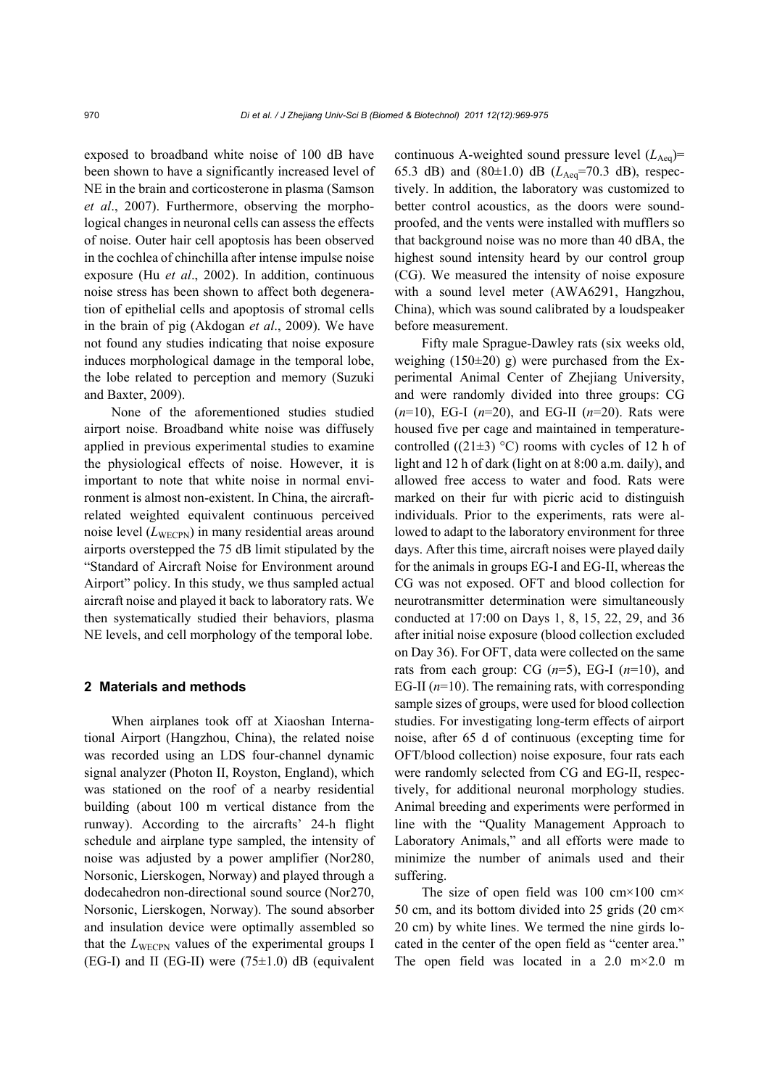exposed to broadband white noise of 100 dB have been shown to have a significantly increased level of NE in the brain and corticosterone in plasma (Samson *et al*., 2007). Furthermore, observing the morphological changes in neuronal cells can assess the effects of noise. Outer hair cell apoptosis has been observed in the cochlea of chinchilla after intense impulse noise exposure (Hu *et al*., 2002). In addition, continuous noise stress has been shown to affect both degeneration of epithelial cells and apoptosis of stromal cells in the brain of pig (Akdogan *et al*., 2009). We have not found any studies indicating that noise exposure induces morphological damage in the temporal lobe, the lobe related to perception and memory (Suzuki and Baxter, 2009).

None of the aforementioned studies studied airport noise. Broadband white noise was diffusely applied in previous experimental studies to examine the physiological effects of noise. However, it is important to note that white noise in normal environment is almost non-existent. In China, the aircraftrelated weighted equivalent continuous perceived noise level  $(L_{\text{WECPN}})$  in many residential areas around airports overstepped the 75 dB limit stipulated by the "Standard of Aircraft Noise for Environment around Airport" policy. In this study, we thus sampled actual aircraft noise and played it back to laboratory rats. We then systematically studied their behaviors, plasma NE levels, and cell morphology of the temporal lobe.

## **2 Materials and methods**

When airplanes took off at Xiaoshan International Airport (Hangzhou, China), the related noise was recorded using an LDS four-channel dynamic signal analyzer (Photon II, Royston, England), which was stationed on the roof of a nearby residential building (about 100 m vertical distance from the runway). According to the aircrafts' 24-h flight schedule and airplane type sampled, the intensity of noise was adjusted by a power amplifier (Nor280, Norsonic, Lierskogen, Norway) and played through a dodecahedron non-directional sound source (Nor270, Norsonic, Lierskogen, Norway). The sound absorber and insulation device were optimally assembled so that the  $L_{\text{WECPN}}$  values of the experimental groups I (EG-I) and II (EG-II) were  $(75\pm1.0)$  dB (equivalent

continuous A-weighted sound pressure level  $(L_{Aeq})$ = 65.3 dB) and  $(80\pm1.0)$  dB  $(L_{Aeq}=70.3$  dB), respectively. In addition, the laboratory was customized to better control acoustics, as the doors were soundproofed, and the vents were installed with mufflers so that background noise was no more than 40 dBA, the highest sound intensity heard by our control group (CG). We measured the intensity of noise exposure with a sound level meter (AWA6291, Hangzhou, China), which was sound calibrated by a loudspeaker before measurement.

Fifty male Sprague-Dawley rats (six weeks old, weighing  $(150\pm20)$  g) were purchased from the Experimental Animal Center of Zhejiang University, and were randomly divided into three groups: CG (*n*=10), EG-I (*n*=20), and EG-II (*n*=20). Rats were housed five per cage and maintained in temperaturecontrolled ((21 $\pm$ 3) °C) rooms with cycles of 12 h of light and 12 h of dark (light on at 8:00 a.m. daily), and allowed free access to water and food. Rats were marked on their fur with picric acid to distinguish individuals. Prior to the experiments, rats were allowed to adapt to the laboratory environment for three days. After this time, aircraft noises were played daily for the animals in groups EG-I and EG-II, whereas the CG was not exposed. OFT and blood collection for neurotransmitter determination were simultaneously conducted at 17:00 on Days 1, 8, 15, 22, 29, and 36 after initial noise exposure (blood collection excluded on Day 36). For OFT, data were collected on the same rats from each group: CG  $(n=5)$ , EG-I  $(n=10)$ , and EG-II  $(n=10)$ . The remaining rats, with corresponding sample sizes of groups, were used for blood collection studies. For investigating long-term effects of airport noise, after 65 d of continuous (excepting time for OFT/blood collection) noise exposure, four rats each were randomly selected from CG and EG-II, respectively, for additional neuronal morphology studies. Animal breeding and experiments were performed in line with the "Quality Management Approach to Laboratory Animals," and all efforts were made to minimize the number of animals used and their suffering.

The size of open field was 100 cm×100 cm× 50 cm, and its bottom divided into 25 grids (20 cm× 20 cm) by white lines. We termed the nine girds located in the center of the open field as "center area." The open field was located in a  $2.0 \text{ m} \times 2.0 \text{ m}$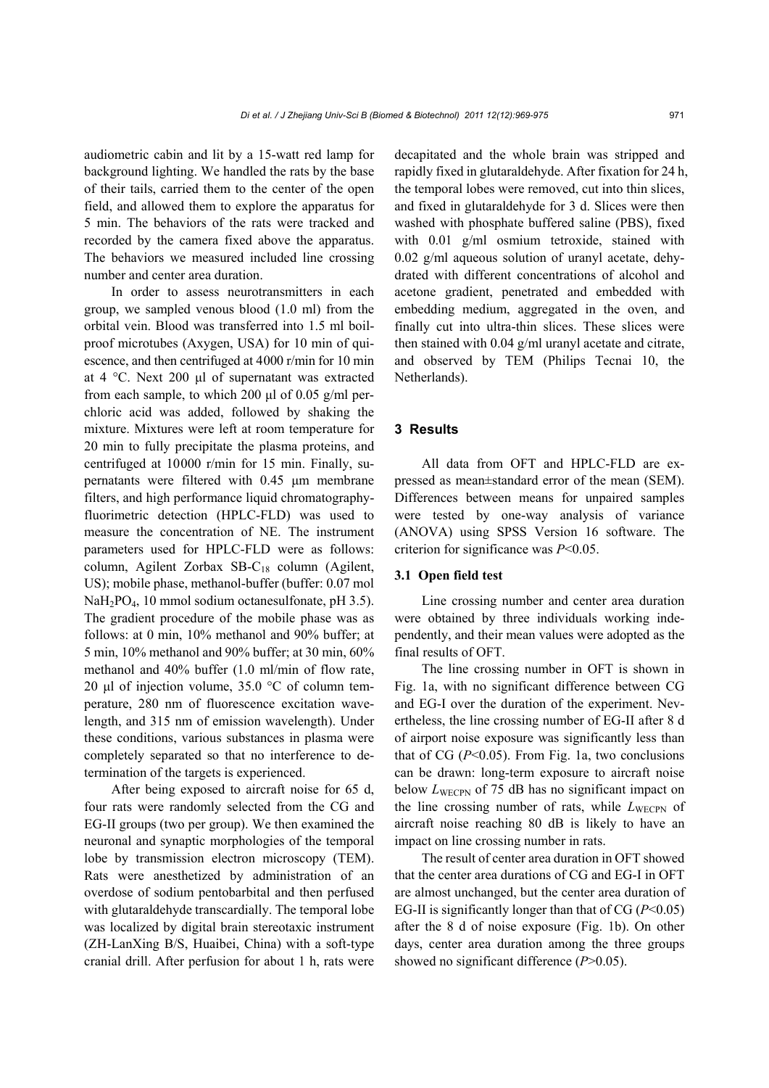audiometric cabin and lit by a 15-watt red lamp for background lighting. We handled the rats by the base of their tails, carried them to the center of the open field, and allowed them to explore the apparatus for 5 min. The behaviors of the rats were tracked and recorded by the camera fixed above the apparatus. The behaviors we measured included line crossing number and center area duration.

In order to assess neurotransmitters in each group, we sampled venous blood (1.0 ml) from the orbital vein. Blood was transferred into 1.5 ml boilproof microtubes (Axygen, USA) for 10 min of quiescence, and then centrifuged at 4000 r/min for 10 min at 4 °C. Next 200 μl of supernatant was extracted from each sample, to which 200 μl of 0.05 g/ml perchloric acid was added, followed by shaking the mixture. Mixtures were left at room temperature for 20 min to fully precipitate the plasma proteins, and centrifuged at 10000 r/min for 15 min. Finally, supernatants were filtered with 0.45 μm membrane filters, and high performance liquid chromatographyfluorimetric detection (HPLC-FLD) was used to measure the concentration of NE. The instrument parameters used for HPLC-FLD were as follows: column, Agilent Zorbax SB-C<sub>18</sub> column (Agilent, US); mobile phase, methanol-buffer (buffer: 0.07 mol NaH2PO4, 10 mmol sodium octanesulfonate, pH 3.5). The gradient procedure of the mobile phase was as follows: at 0 min, 10% methanol and 90% buffer; at 5 min, 10% methanol and 90% buffer; at 30 min, 60% methanol and 40% buffer (1.0 ml/min of flow rate, 20 μl of injection volume, 35.0 °C of column temperature, 280 nm of fluorescence excitation wavelength, and 315 nm of emission wavelength). Under these conditions, various substances in plasma were completely separated so that no interference to determination of the targets is experienced.

After being exposed to aircraft noise for 65 d, four rats were randomly selected from the CG and EG-II groups (two per group). We then examined the neuronal and synaptic morphologies of the temporal lobe by transmission electron microscopy (TEM). Rats were anesthetized by administration of an overdose of sodium pentobarbital and then perfused with glutaraldehyde transcardially. The temporal lobe was localized by digital brain stereotaxic instrument (ZH-LanXing B/S, Huaibei, China) with a soft-type cranial drill. After perfusion for about 1 h, rats were decapitated and the whole brain was stripped and rapidly fixed in glutaraldehyde. After fixation for 24 h, the temporal lobes were removed, cut into thin slices, and fixed in glutaraldehyde for 3 d. Slices were then washed with phosphate buffered saline (PBS), fixed with 0.01 g/ml osmium tetroxide, stained with 0.02 g/ml aqueous solution of uranyl acetate, dehydrated with different concentrations of alcohol and acetone gradient, penetrated and embedded with embedding medium, aggregated in the oven, and finally cut into ultra-thin slices. These slices were then stained with 0.04 g/ml uranyl acetate and citrate, and observed by TEM (Philips Tecnai 10, the Netherlands).

## **3 Results**

All data from OFT and HPLC-FLD are expressed as mean±standard error of the mean (SEM). Differences between means for unpaired samples were tested by one-way analysis of variance (ANOVA) using SPSS Version 16 software. The criterion for significance was *P*<0.05.

## **3.1 Open field test**

Line crossing number and center area duration were obtained by three individuals working independently, and their mean values were adopted as the final results of OFT.

The line crossing number in OFT is shown in Fig. 1a, with no significant difference between CG and EG-I over the duration of the experiment. Nevertheless, the line crossing number of EG-II after 8 d of airport noise exposure was significantly less than that of CG  $(P<0.05)$ . From Fig. 1a, two conclusions can be drawn: long-term exposure to aircraft noise below *L*<sub>WECPN</sub> of 75 dB has no significant impact on the line crossing number of rats, while  $L_{\text{WECPN}}$  of aircraft noise reaching 80 dB is likely to have an impact on line crossing number in rats.

The result of center area duration in OFT showed that the center area durations of CG and EG-I in OFT are almost unchanged, but the center area duration of EG-II is significantly longer than that of CG (*P*<0.05) after the 8 d of noise exposure (Fig. 1b). On other days, center area duration among the three groups showed no significant difference (*P*>0.05).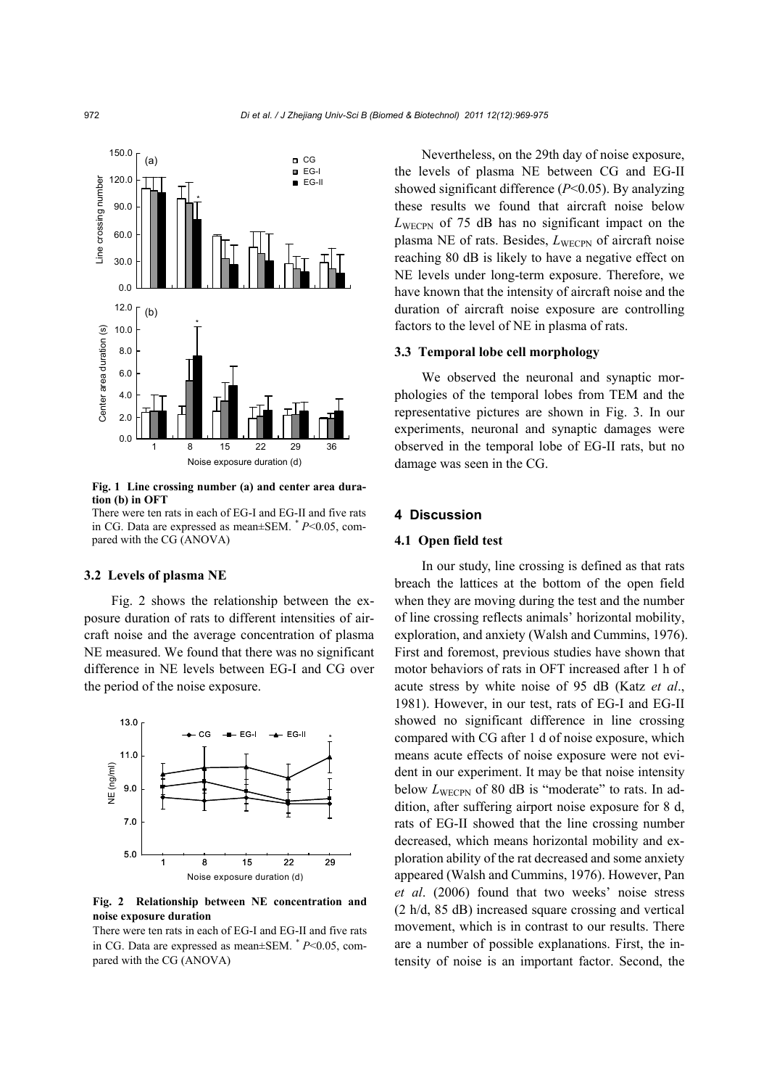

**Fig. 1 Line crossing number (a) and center area duration (b) in OFT** 

There were ten rats in each of EG-I and EG-II and five rats in CG. Data are expressed as mean±SEM.  $* P< 0.05$ , compared with the CG (ANOVA)

### **3.2 Levels of plasma NE**

Fig. 2 shows the relationship between the exposure duration of rats to different intensities of aircraft noise and the average concentration of plasma NE measured. We found that there was no significant difference in NE levels between EG-I and CG over the period of the noise exposure.



**Fig. 2 Relationship between NE concentration and noise exposure duration** 

There were ten rats in each of EG-I and EG-II and five rats in CG. Data are expressed as mean±SEM.  $* P< 0.05$ , compared with the CG (ANOVA)

Nevertheless, on the 29th day of noise exposure, the levels of plasma NE between CG and EG-II showed significant difference (*P*<0.05). By analyzing these results we found that aircraft noise below *L*WECPN of 75 dB has no significant impact on the plasma NE of rats. Besides, *L*WECPN of aircraft noise reaching 80 dB is likely to have a negative effect on NE levels under long-term exposure. Therefore, we have known that the intensity of aircraft noise and the duration of aircraft noise exposure are controlling factors to the level of NE in plasma of rats.

## **3.3 Temporal lobe cell morphology**

We observed the neuronal and synaptic morphologies of the temporal lobes from TEM and the representative pictures are shown in Fig. 3. In our experiments, neuronal and synaptic damages were observed in the temporal lobe of EG-II rats, but no damage was seen in the CG.

#### **4 Discussion**

#### **4.1 Open field test**

In our study, line crossing is defined as that rats breach the lattices at the bottom of the open field when they are moving during the test and the number of line crossing reflects animals' horizontal mobility, exploration, and anxiety (Walsh and Cummins, 1976). First and foremost, previous studies have shown that motor behaviors of rats in OFT increased after 1 h of acute stress by white noise of 95 dB (Katz *et al*., 1981). However, in our test, rats of EG-I and EG-II showed no significant difference in line crossing compared with CG after 1 d of noise exposure, which means acute effects of noise exposure were not evident in our experiment. It may be that noise intensity below  $L_{\text{WECPN}}$  of 80 dB is "moderate" to rats. In addition, after suffering airport noise exposure for 8 d, rats of EG-II showed that the line crossing number decreased, which means horizontal mobility and exploration ability of the rat decreased and some anxiety appeared (Walsh and Cummins, 1976). However, Pan *et al*. (2006) found that two weeks' noise stress (2 h/d, 85 dB) increased square crossing and vertical movement, which is in contrast to our results. There are a number of possible explanations. First, the intensity of noise is an important factor. Second, the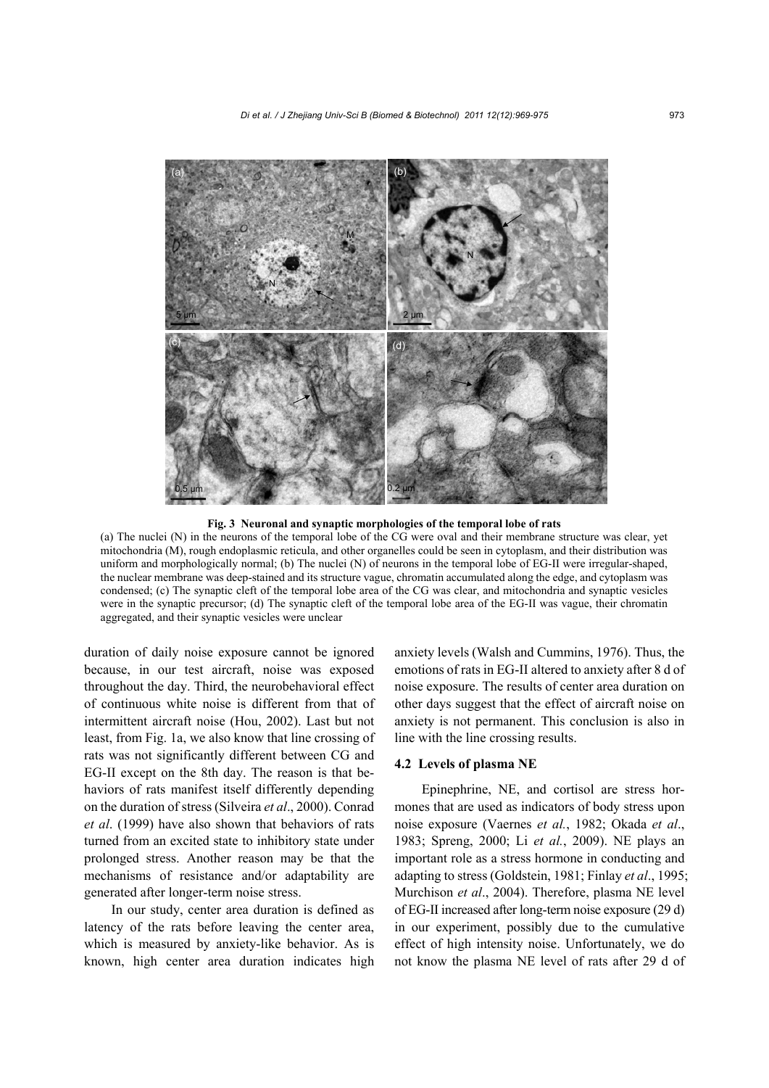

**Fig. 3 Neuronal and synaptic morphologies of the temporal lobe of rats** 

(a) The nuclei (N) in the neurons of the temporal lobe of the CG were oval and their membrane structure was clear, yet mitochondria (M), rough endoplasmic reticula, and other organelles could be seen in cytoplasm, and their distribution was uniform and morphologically normal; (b) The nuclei (N) of neurons in the temporal lobe of EG-II were irregular-shaped, the nuclear membrane was deep-stained and its structure vague, chromatin accumulated along the edge, and cytoplasm was condensed; (c) The synaptic cleft of the temporal lobe area of the CG was clear, and mitochondria and synaptic vesicles were in the synaptic precursor; (d) The synaptic cleft of the temporal lobe area of the EG-II was vague, their chromatin aggregated, and their synaptic vesicles were unclear

duration of daily noise exposure cannot be ignored because, in our test aircraft, noise was exposed throughout the day. Third, the neurobehavioral effect of continuous white noise is different from that of intermittent aircraft noise (Hou, 2002). Last but not least, from Fig. 1a, we also know that line crossing of rats was not significantly different between CG and EG-II except on the 8th day. The reason is that behaviors of rats manifest itself differently depending on the duration of stress (Silveira *et al*., 2000). Conrad *et al*. (1999) have also shown that behaviors of rats turned from an excited state to inhibitory state under prolonged stress. Another reason may be that the mechanisms of resistance and/or adaptability are generated after longer-term noise stress.

In our study, center area duration is defined as latency of the rats before leaving the center area, which is measured by anxiety-like behavior. As is known, high center area duration indicates high anxiety levels (Walsh and Cummins, 1976). Thus, the emotions of rats in EG-II altered to anxiety after 8 d of noise exposure. The results of center area duration on other days suggest that the effect of aircraft noise on anxiety is not permanent. This conclusion is also in line with the line crossing results.

### **4.2 Levels of plasma NE**

Epinephrine, NE, and cortisol are stress hormones that are used as indicators of body stress upon noise exposure (Vaernes *et al.*, 1982; Okada *et al*., 1983; Spreng, 2000; Li *et al.*, 2009). NE plays an important role as a stress hormone in conducting and adapting to stress (Goldstein, 1981; Finlay *et al*., 1995; Murchison *et al*., 2004). Therefore, plasma NE level of EG-II increased after long-term noise exposure (29 d) in our experiment, possibly due to the cumulative effect of high intensity noise. Unfortunately, we do not know the plasma NE level of rats after 29 d of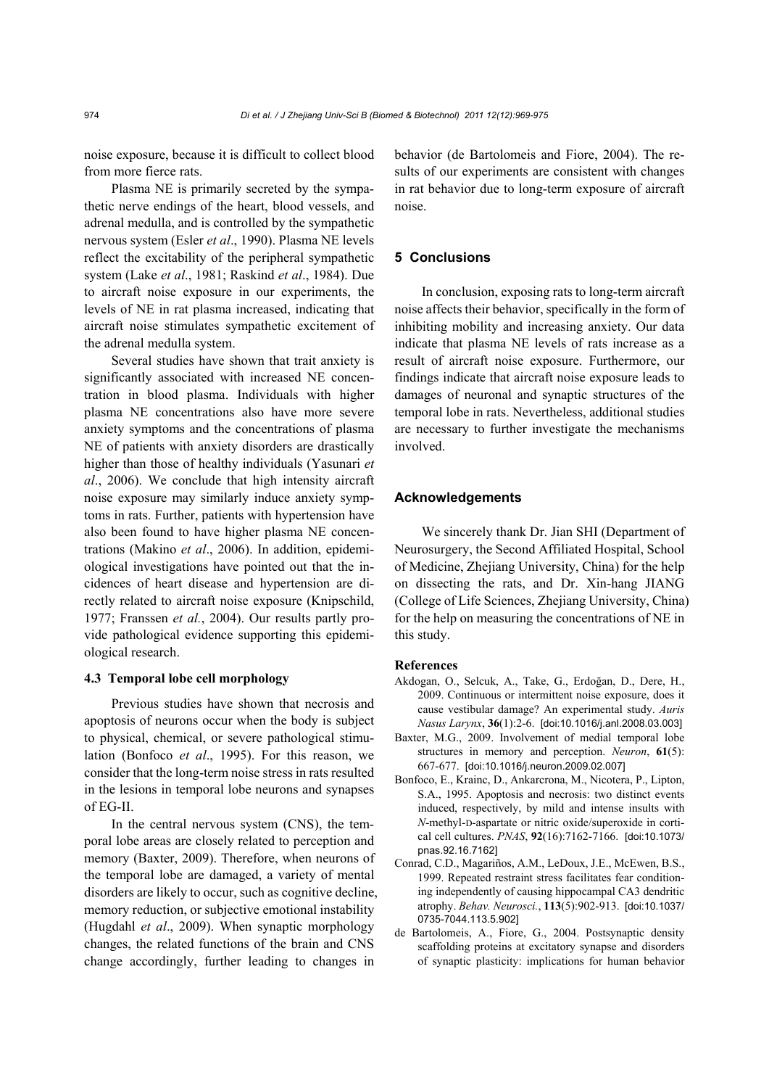noise exposure, because it is difficult to collect blood from more fierce rats.

Plasma NE is primarily secreted by the sympathetic nerve endings of the heart, blood vessels, and adrenal medulla, and is controlled by the sympathetic nervous system (Esler *et al*., 1990). Plasma NE levels reflect the excitability of the peripheral sympathetic system (Lake *et al*., 1981; Raskind *et al*., 1984). Due to aircraft noise exposure in our experiments, the levels of NE in rat plasma increased, indicating that aircraft noise stimulates sympathetic excitement of the adrenal medulla system.

Several studies have shown that trait anxiety is significantly associated with increased NE concentration in blood plasma. Individuals with higher plasma NE concentrations also have more severe anxiety symptoms and the concentrations of plasma NE of patients with anxiety disorders are drastically higher than those of healthy individuals (Yasunari *et al*., 2006). We conclude that high intensity aircraft noise exposure may similarly induce anxiety symptoms in rats. Further, patients with hypertension have also been found to have higher plasma NE concentrations (Makino *et al*., 2006). In addition, epidemiological investigations have pointed out that the incidences of heart disease and hypertension are directly related to aircraft noise exposure (Knipschild, 1977; Franssen *et al.*, 2004). Our results partly provide pathological evidence supporting this epidemiological research.

## **4.3 Temporal lobe cell morphology**

Previous studies have shown that necrosis and apoptosis of neurons occur when the body is subject to physical, chemical, or severe pathological stimulation (Bonfoco *et al*., 1995). For this reason, we consider that the long-term noise stress in rats resulted in the lesions in temporal lobe neurons and synapses of EG-II.

In the central nervous system (CNS), the temporal lobe areas are closely related to perception and memory (Baxter, 2009). Therefore, when neurons of the temporal lobe are damaged, a variety of mental disorders are likely to occur, such as cognitive decline, memory reduction, or subjective emotional instability (Hugdahl *et al*., 2009). When synaptic morphology changes, the related functions of the brain and CNS change accordingly, further leading to changes in

behavior (de Bartolomeis and Fiore, 2004). The results of our experiments are consistent with changes in rat behavior due to long-term exposure of aircraft noise.

## **5 Conclusions**

In conclusion, exposing rats to long-term aircraft noise affects their behavior, specifically in the form of inhibiting mobility and increasing anxiety. Our data indicate that plasma NE levels of rats increase as a result of aircraft noise exposure. Furthermore, our findings indicate that aircraft noise exposure leads to damages of neuronal and synaptic structures of the temporal lobe in rats. Nevertheless, additional studies are necessary to further investigate the mechanisms involved.

## **Acknowledgements**

We sincerely thank Dr. Jian SHI (Department of Neurosurgery, the Second Affiliated Hospital, School of Medicine, Zhejiang University, China) for the help on dissecting the rats, and Dr. Xin-hang JIANG (College of Life Sciences, Zhejiang University, China) for the help on measuring the concentrations of NE in this study.

#### **References**

- Akdogan, O., Selcuk, A., Take, G., Erdoğan, D., Dere, H., 2009. Continuous or intermittent noise exposure, does it cause vestibular damage? An experimental study. *Auris Nasus Larynx*, **36**(1):2-6. [doi:10.1016/j.anl.2008.03.003]
- Baxter, M.G., 2009. Involvement of medial temporal lobe structures in memory and perception. *Neuron*, **61**(5): 667-677. [doi:10.1016/j.neuron.2009.02.007]
- Bonfoco, E., Krainc, D., Ankarcrona, M., Nicotera, P., Lipton, S.A., 1995. Apoptosis and necrosis: two distinct events induced, respectively, by mild and intense insults with *N*-methyl-D-aspartate or nitric oxide/superoxide in cortical cell cultures. *PNAS*, **92**(16):7162-7166. [doi:10.1073/ pnas.92.16.7162]
- Conrad, C.D., Magariños, A.M., LeDoux, J.E., McEwen, B.S., 1999. Repeated restraint stress facilitates fear conditioning independently of causing hippocampal CA3 dendritic atrophy. *Behav. Neurosci.*, **113**(5):902-913. [doi:10.1037/ 0735-7044.113.5.902]
- de Bartolomeis, A., Fiore, G., 2004. Postsynaptic density scaffolding proteins at excitatory synapse and disorders of synaptic plasticity: implications for human behavior